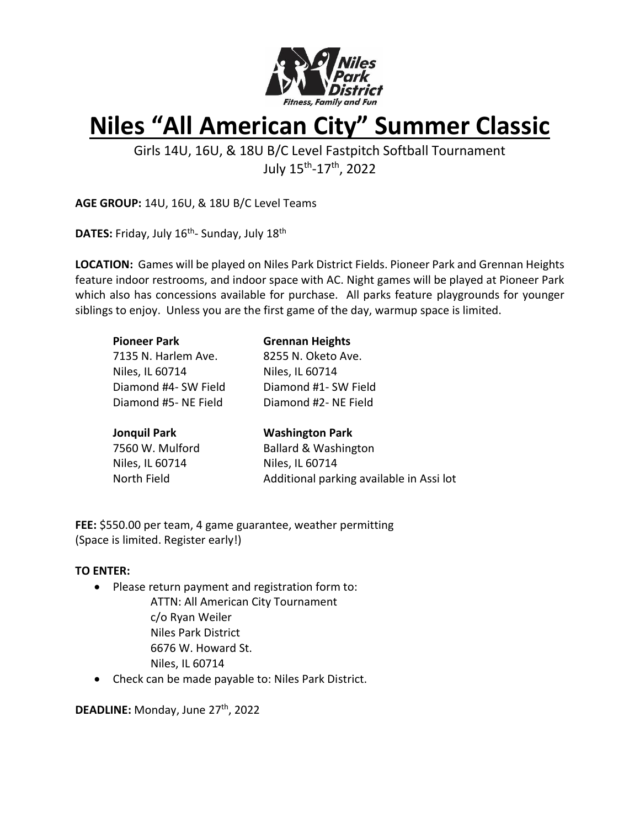

## **Niles "All American City" Summer Classic**

Girls 14U, 16U, & 18U B/C Level Fastpitch Softball Tournament July 15<sup>th</sup>-17<sup>th</sup>, 2022

**AGE GROUP:** 14U, 16U, & 18U B/C Level Teams

**DATES:** Friday, July 16<sup>th</sup>- Sunday, July 18<sup>th</sup>

**LOCATION:** Games will be played on Niles Park District Fields. Pioneer Park and Grennan Heights feature indoor restrooms, and indoor space with AC. Night games will be played at Pioneer Park which also has concessions available for purchase. All parks feature playgrounds for younger siblings to enjoy. Unless you are the first game of the day, warmup space is limited.

| <b>Pioneer Park</b>  | <b>Grennan Heights</b>          |
|----------------------|---------------------------------|
| 7135 N. Harlem Ave.  | 8255 N. Oketo Ave.              |
| Niles, IL 60714      | Niles, IL 60714                 |
| Diamond #4- SW Field | Diamond #1- SW Field            |
| Diamond #5- NE Field | Diamond #2- NE Field            |
|                      |                                 |
| <b>Jonquil Park</b>  | <b>Washington Park</b>          |
| 7560 W. Mulford      | <b>Ballard &amp; Washington</b> |
| Niles, IL 60714      | Niles, IL 60714                 |

North Field **Additional parking available in Assi lot** 

**FEE:** \$550.00 per team, 4 game guarantee, weather permitting (Space is limited. Register early!)

#### **TO ENTER:**

- Please return payment and registration form to:
	- ATTN: All American City Tournament c/o Ryan Weiler Niles Park District 6676 W. Howard St. Niles, IL 60714
- Check can be made payable to: Niles Park District.

DEADLINE: Monday, June 27<sup>th</sup>, 2022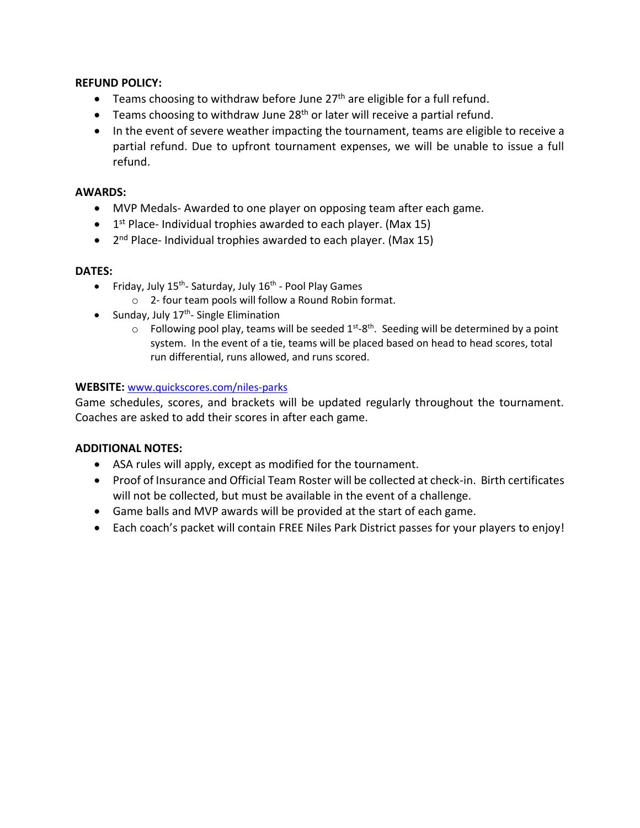#### **REFUND POLICY:**

- Teams choosing to withdraw before June 27<sup>th</sup> are eligible for a full refund.
- $\bullet$  Teams choosing to withdraw June 28<sup>th</sup> or later will receive a partial refund.
- In the event of severe weather impacting the tournament, teams are eligible to receive a partial refund. Due to upfront tournament expenses, we will be unable to issue a full refund.

#### **AWARDS:**

- MVP Medals- Awarded to one player on opposing team after each game.
- 1<sup>st</sup> Place- Individual trophies awarded to each player. (Max 15)
- 2<sup>nd</sup> Place- Individual trophies awarded to each player. (Max 15)

### **DATES:**

- Friday, July 15<sup>th</sup>- Saturday, July 16<sup>th</sup> Pool Play Games
	- o 2- four team pools will follow a Round Robin format.
- Sunday, July 17<sup>th</sup>- Single Elimination
	- $\circ$  Following pool play, teams will be seeded  $1^{st}$ -8<sup>th</sup>. Seeding will be determined by a point system. In the event of a tie, teams will be placed based on head to head scores, total run differential, runs allowed, and runs scored.

## **WEBSITE:** [www.quickscores.com/niles-parks](http://www.quickscores.com/niles-parks)

Game schedules, scores, and brackets will be updated regularly throughout the tournament. Coaches are asked to add their scores in after each game.

## **ADDITIONAL NOTES:**

- ASA rules will apply, except as modified for the tournament.
- Proof of Insurance and Official Team Roster will be collected at check-in. Birth certificates will not be collected, but must be available in the event of a challenge.
- Game balls and MVP awards will be provided at the start of each game.
- Each coach's packet will contain FREE Niles Park District passes for your players to enjoy!